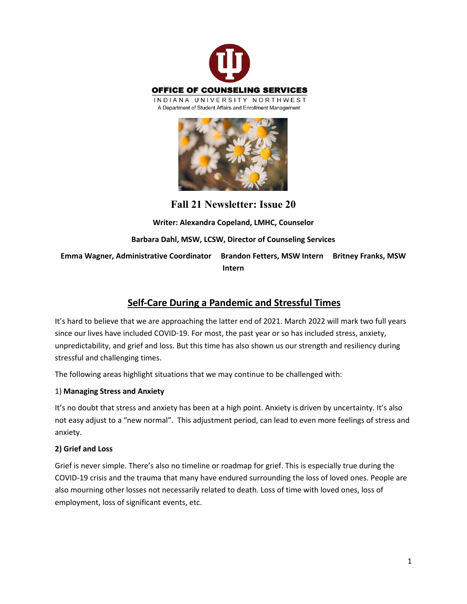



**Fall 21 Newsletter: Issue 20**

**Writer: Alexandra Copeland, LMHC, Counselor Barbara Dahl, MSW, LCSW, Director of Counseling Services Emma Wagner, Administrative Coordinator Brandon Fetters, MSW Intern Britney Franks, MSW Intern** 

# **Self-Care During a Pandemic and Stressful Times**

It's hard to believe that we are approaching the latter end of 2021. March 2022 will mark two full years since our lives have included COVID-19. For most, the past year or so has included stress, anxiety, unpredictability, and grief and loss. But this time has also shown us our strength and resiliency during stressful and challenging times.

The following areas highlight situations that we may continue to be challenged with:

## 1) **Managing Stress and Anxiety**

It's no doubt that stress and anxiety has been at a high point. Anxiety is driven by uncertainty. It's also not easy adjust to a "new normal". This adjustment period, can lead to even more feelings of stress and anxiety.

## **2) Grief and Loss**

Grief is never simple. There's also no timeline or roadmap for grief. This is especially true during the COVID-19 crisis and the trauma that many have endured surrounding the loss of loved ones. People are also mourning other losses not necessarily related to death. Loss of time with loved ones, loss of employment, loss of significant events, etc.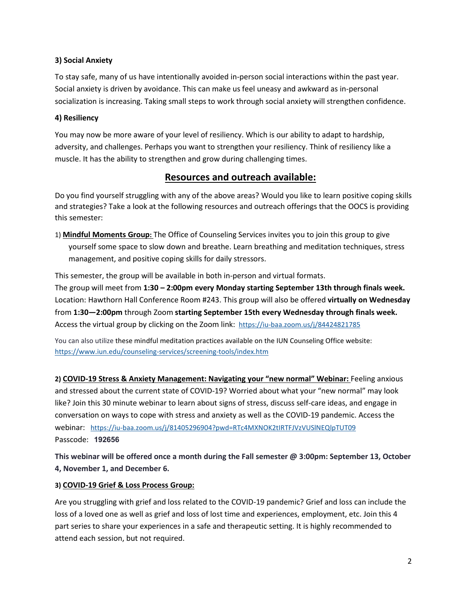#### **3) Social Anxiety**

To stay safe, many of us have intentionally avoided in-person social interactions within the past year. Social anxiety is driven by avoidance. This can make us feel uneasy and awkward as in-personal socialization is increasing. Taking small steps to work through social anxiety will strengthen confidence.

#### **4) Resiliency**

You may now be more aware of your level of resiliency. Which is our ability to adapt to hardship, adversity, and challenges. Perhaps you want to strengthen your resiliency. Think of resiliency like a muscle. It has the ability to strengthen and grow during challenging times.

# **Resources and outreach available:**

Do you find yourself struggling with any of the above areas? Would you like to learn positive coping skills and strategies? Take a look at the following resources and outreach offerings that the OOCS is providing this semester:

1) **Mindful Moments Group:** The Office of Counseling Services invites you to join this group to give yourself some space to slow down and breathe. Learn breathing and meditation techniques, stress management, and positive coping skills for daily stressors.

This semester, the group will be available in both in-person and virtual formats. The group will meet from **1:30 – 2:00pm every Monday starting September 13th through finals week.** Location: Hawthorn Hall Conference Room #243. This group will also be offered **virtually on Wednesday** from **1:30—2:00pm** through Zoom **starting September 15th every Wednesday through finals week.**  Access the virtual group by clicking on the Zoom link: <https://iu-baa.zoom.us/j/84424821785>

You can also utilize these mindful meditation practices available on the IUN Counseling Office website: <https://www.iun.edu/counseling-services/screening-tools/index.htm>

**2) COVID-19 Stress & Anxiety Management: Navigating your "new normal" Webinar:** Feeling anxious and stressed about the current state of COVID-19? Worried about what your "new normal" may look like? Join this 30 minute webinar to learn about signs of stress, discuss self-care ideas, and engage in conversation on ways to cope with stress and anxiety as well as the COVID-19 pandemic. Access the webinar: <https://iu-baa.zoom.us/j/81405296904?pwd=RTc4MXNOK2tIRTFJVzVUSlNEQlpTUT09> Passcode: **192656**

**This webinar will be offered once a month during the Fall semester @ 3:00pm: September 13, October 4, November 1, and December 6.** 

#### **3) COVID-19 Grief & Loss Process Group:**

Are you struggling with grief and loss related to the COVID-19 pandemic? Grief and loss can include the loss of a loved one as well as grief and loss of lost time and experiences, employment, etc. Join this 4 part series to share your experiences in a safe and therapeutic setting. It is highly recommended to attend each session, but not required.